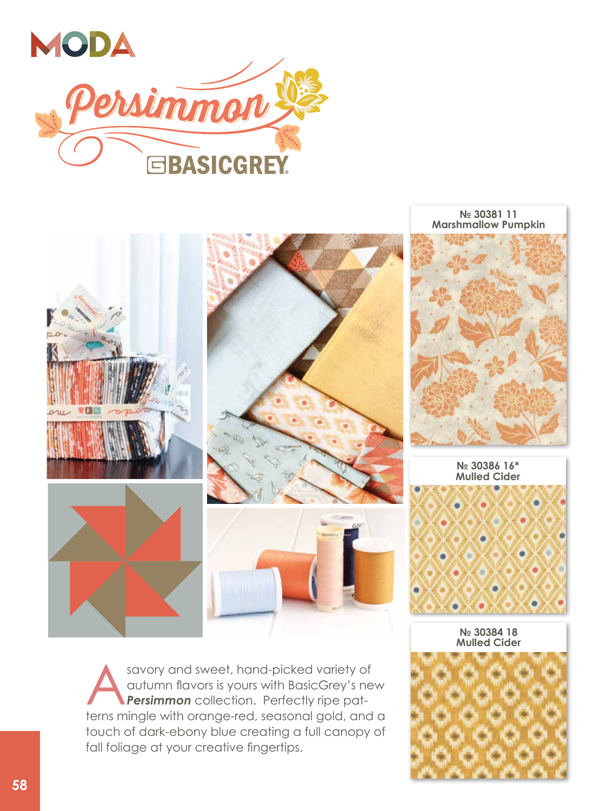



savory and sweet, hand-picked variety of autumn flavors is yours with BasicGrey's new *Persimmon* collection. Perfectly ripe patterns mingle with orange-red, seasonal gold, and a touch of dark-ebony blue creating a full canopy of fall foliage at your creative fingertips.

**Mulled Cider**

**№ 30381 11 Marshmallow Pumpkin**

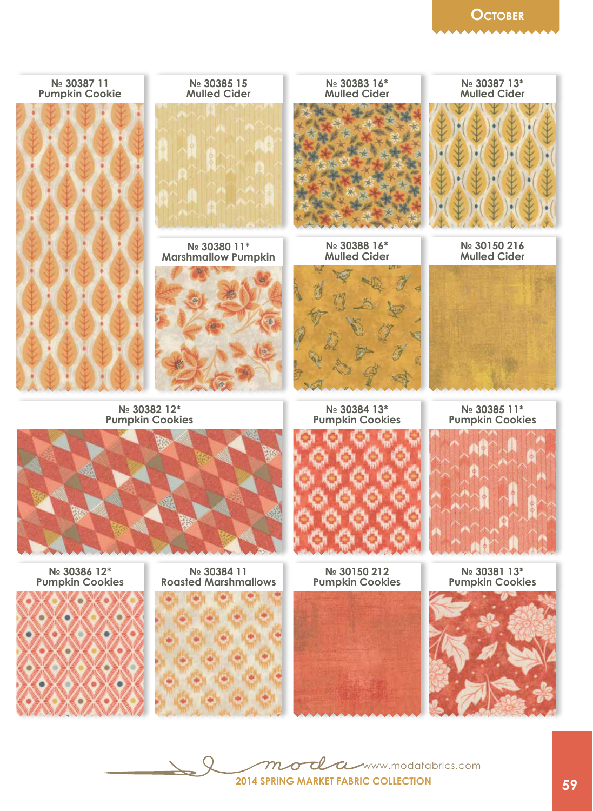

datumww.modafabrics.com  $m$  $\sigma$ **2014 Spring market Fabric collection**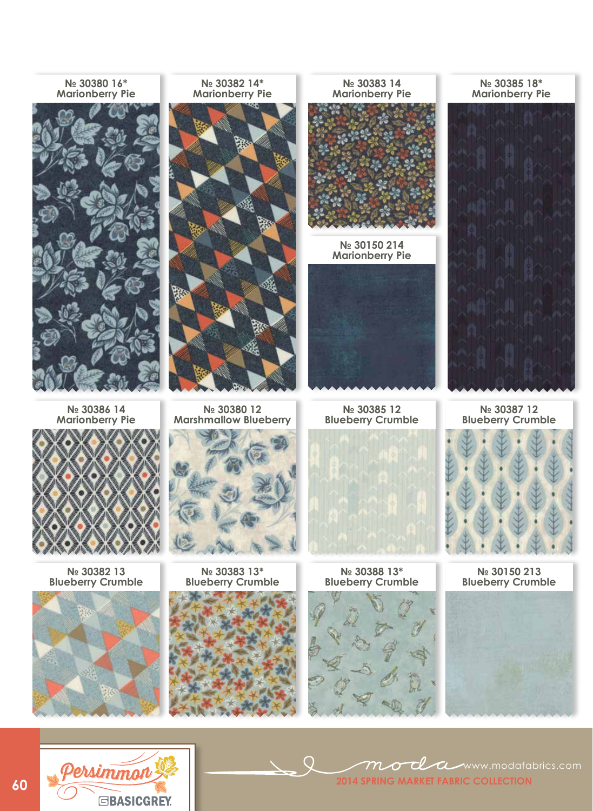

 $\bigcirc$ 



**2014 Spring market Fabric collection** mode a www.modafabrics.com